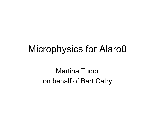#### Microphysics for Alaro0

Martina Tudor on behalf of Bart Catry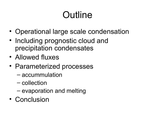# **Outline**

- Operational large scale condensation
- Including prognostic cloud and precipitation condensates
- Allowed fluxes
- Parameterized processes
	- accummulation
	- collection
	- evaporation and melting
- Conclusion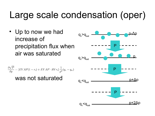## Large scale condensation (oper)

• Up to now we had increase of precipitation flux when air was saturated

$$
\frac{\partial \sqrt{P}}{\partial p} = [EVAP(1 - r_i) + EVAP \cdot RVr_i] \frac{1}{p^2} (q_v - q_w)
$$
  
**WAS not saturated**

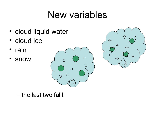## New variables

- cloud liquid water
- cloud ice
- rain
- snow





– the last two fall!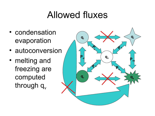#### Allowed fluxes

- condensation evaporation
- autoconversion
- melting and freezing are computed through  $q_v$

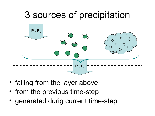# 3 sources of precipitation **Pr , P<sup>s</sup> Pr , P<sup>s</sup>**

- falling from the layer above
- from the previous time-step
- generated durig current time-step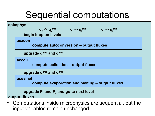## Sequential computations



• Computations inside microphysics are sequential, but the input variables remain unchanged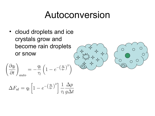#### Autoconversion

• cloud droplets and ice crystals grow and become rain droplets or snow

$$
\left(\frac{\partial q_l}{\partial t}\right)_{auto} = -\frac{q_l}{\tau_l} \left(1 - e^{-\left(\frac{q_l}{q_r}\right)^2}\right)
$$

$$
(\frac{1}{2}, \frac{1}{2}, \frac{1}{2}, \frac{1}{2}, \frac{1}{2}, \frac{1}{2}, \frac{1}{2}, \frac{1}{2}, \frac{1}{2}, \frac{1}{2}, \frac{1}{2}, \frac{1}{2}, \frac{1}{2}, \frac{1}{2}, \frac{1}{2}, \frac{1}{2}, \frac{1}{2}, \frac{1}{2}, \frac{1}{2}, \frac{1}{2}, \frac{1}{2}, \frac{1}{2}, \frac{1}{2}, \frac{1}{2}, \frac{1}{2}, \frac{1}{2}, \frac{1}{2}, \frac{1}{2}, \frac{1}{2}, \frac{1}{2}, \frac{1}{2}, \frac{1}{2}, \frac{1}{2}, \frac{1}{2}, \frac{1}{2}, \frac{1}{2}, \frac{1}{2}, \frac{1}{2}, \frac{1}{2}, \frac{1}{2}, \frac{1}{2}, \frac{1}{2}, \frac{1}{2}, \frac{1}{2}, \frac{1}{2}, \frac{1}{2}, \frac{1}{2}, \frac{1}{2}, \frac{1}{2}, \frac{1}{2}, \frac{1}{2}, \frac{1}{2}, \frac{1}{2}, \frac{1}{2}, \frac{1}{2}, \frac{1}{2}, \frac{1}{2}, \frac{1}{2}, \frac{1}{2}, \frac{1}{2}, \frac{1}{2}, \frac{1}{2}, \frac{1}{2}, \frac{1}{2}, \frac{1}{2}, \frac{1}{2}, \frac{1}{2}, \frac{1}{2}, \frac{1}{2}, \frac{1}{2}, \frac{1}{2}, \frac{1}{2}, \frac{1}{2}, \frac{1}{2}, \frac{1}{2}, \frac{1}{2}, \frac{1}{2}, \frac{1}{2}, \frac{1}{2}, \frac{1}{2}, \frac{1}{2}, \frac{1}{2}, \frac{1}{2}, \frac{1}{2}, \frac{1}{2}, \frac{1}{2}, \frac{1}{2}, \frac{1}{2}, \frac{1}{2}, \frac{1}{2}, \frac{1}{2}, \frac{1}{2}, \frac{1}{2}, \frac{1}{2}, \frac{1}{2}, \frac{1}{2}, \frac{1}{2}, \frac{1}{2}, \frac{1}{2}, \frac{1}{2}, \frac{1}{2}, \frac{1}{2}, \frac{1}{2}, \frac{1}{2}, \frac{1}{2}, \frac{1}{2}, \frac{1}{2}, \frac{1}{2}, \frac{1}{2
$$



$$
\Delta F_{al} = q_l \left[ 1 - e^{-\left(\frac{q_l}{q_r}\right)^2} \right] \frac{1}{\tau_l} \frac{\Delta p}{g \Delta t}
$$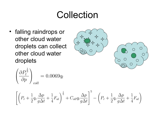#### Collection

• falling raindrops or other cloud water droplets can collect other cloud water droplets





$$
\left(\frac{\partial P_l^{\frac{1}{5}}}{\partial p}\right)_{coll} = 0.0069q_l
$$

$$
\left[ \left(P_r + \frac{1}{2} q_r \frac{\Delta p}{g \Delta t} + \frac{1}{4} F_{al} \right)^{\frac{1}{5}} + C_{oll} q_l \frac{\Delta p}{g \Delta t} \right]^5 - \left( P_r + \frac{1}{2} q_r \frac{\Delta p}{g \Delta t} + \frac{1}{4} F_{al} \right)
$$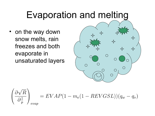## Evaporation and melting

• on the way down snow melts, rain freezes and both evaporate in unsaturated layers





 $= EVAP(1 - m_e(1 - REVGSL))(q_w - q_v)$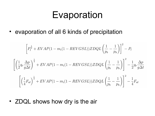#### Evaporation

• evaporation of all 6 kinds of precipitation

$$
\left[P_l^{\frac{1}{2}} + EVAP(1 - m_i(1 - REVGSL))ZDQL\left(\frac{1}{p_b} - \frac{1}{p_h}\right)\right]^2 - P_l
$$
\n
$$
\left[\left(\frac{1}{2}q_r\frac{\Delta p}{g\Delta t}\right)^{\frac{1}{2}} + EVAP(1 - m_i(1 - REVGSL))ZDQL\left(\frac{1}{p_b} - \frac{1}{p_h}\right)\right]^2 - \frac{1}{2}q_r\frac{\Delta p}{g\Delta t}
$$
\n
$$
\left[\left(\frac{1}{4}F_{al}\right)^{\frac{1}{2}} + EVAP(1 - m_i(1 - REVGSL))ZDQL\left(\frac{1}{p_b} - \frac{1}{p_h}\right)\right]^2 - \frac{1}{4}F_{al}
$$

• ZDQL shows how dry is the air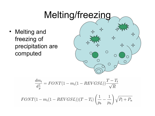## Melting/freezing

• Melting and freezing of precipitation are computed

$$
\frac{3}{4}
$$

$$
\frac{dm_i}{d_p^1} = FONT(1 - m_i(1 - REVGSL))\frac{T - T_t}{\sqrt{R}}
$$

$$
FONT(1 - mi(1 - REVGSL))(T - Tt) \left(\frac{1}{p_b} - \frac{1}{p_h}\right) \sqrt{P_l + P_n}
$$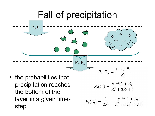

step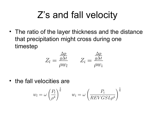## Z's and fall velocity

• The ratio of the layer thickness and the distance that precipitation might cross during one timestep

$$
Z_l = \frac{\frac{\Delta p}{g \Delta t}}{\rho w_l} \qquad Z_i = \frac{\frac{\Delta p}{g \Delta t}}{\rho w_i}
$$

• the fall velocities are

$$
w_l = \omega \left(\frac{P_l}{\rho^4}\right)^{\frac{1}{6}} \qquad w_i = \omega \left(\frac{P_i}{REVGSL\rho^4}\right)^{\frac{1}{6}}
$$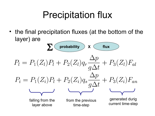## Precipitation flux

• the final precipitation fluxes (at the bottom of the layer) are

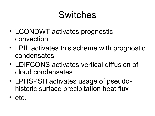## Switches

- LCONDWT activates prognostic convection
- LPIL activates this scheme with prognostic condensates
- LDIFCONS activates vertical diffusion of cloud condensates
- LPHSPSH activates usage of pseudohistoric surface precipitation heat flux
- etc.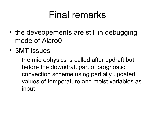#### Final remarks

- the deveopements are still in debugging mode of Alaro0
- 3MT issues
	- the microphysics is called after updraft but before the downdraft part of prognostic convection scheme using partially updated values of temperature and moist variables as input